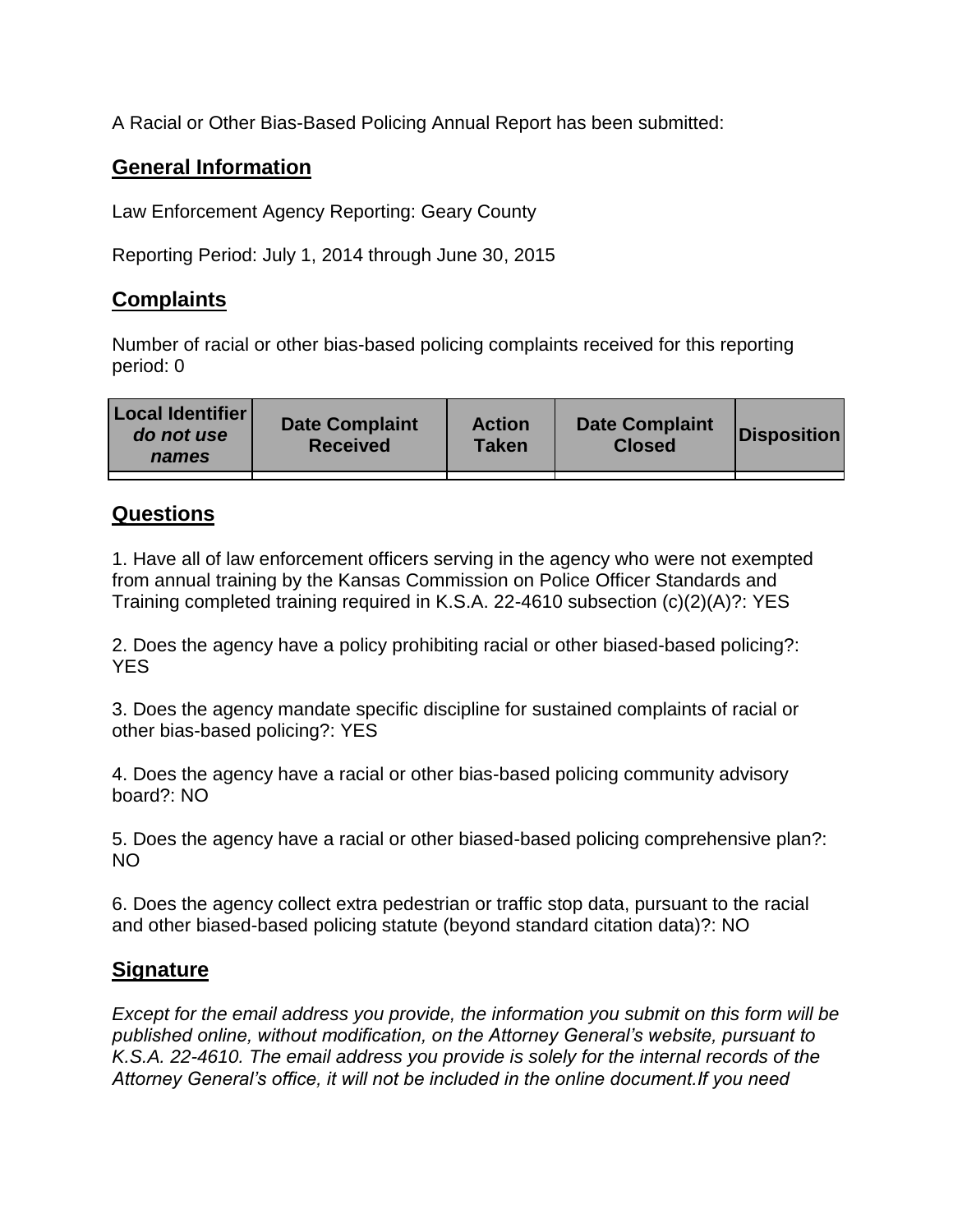A Racial or Other Bias-Based Policing Annual Report has been submitted:

## **General Information**

Law Enforcement Agency Reporting: Geary County

Reporting Period: July 1, 2014 through June 30, 2015

## **Complaints**

Number of racial or other bias-based policing complaints received for this reporting period: 0

| <b>Local Identifier</b><br>do not use<br>names | <b>Date Complaint</b><br><b>Received</b> | <b>Action</b><br><b>Taken</b> | <b>Date Complaint</b><br><b>Closed</b> | Disposition |
|------------------------------------------------|------------------------------------------|-------------------------------|----------------------------------------|-------------|
|                                                |                                          |                               |                                        |             |

## **Questions**

1. Have all of law enforcement officers serving in the agency who were not exempted from annual training by the Kansas Commission on Police Officer Standards and Training completed training required in K.S.A. 22-4610 subsection (c)(2)(A)?: YES

2. Does the agency have a policy prohibiting racial or other biased-based policing?: YES

3. Does the agency mandate specific discipline for sustained complaints of racial or other bias-based policing?: YES

4. Does the agency have a racial or other bias-based policing community advisory board?: NO

5. Does the agency have a racial or other biased-based policing comprehensive plan?: NO

6. Does the agency collect extra pedestrian or traffic stop data, pursuant to the racial and other biased-based policing statute (beyond standard citation data)?: NO

## **Signature**

*Except for the email address you provide, the information you submit on this form will be published online, without modification, on the Attorney General's website, pursuant to K.S.A. 22-4610. The email address you provide is solely for the internal records of the Attorney General's office, it will not be included in the online document.If you need*